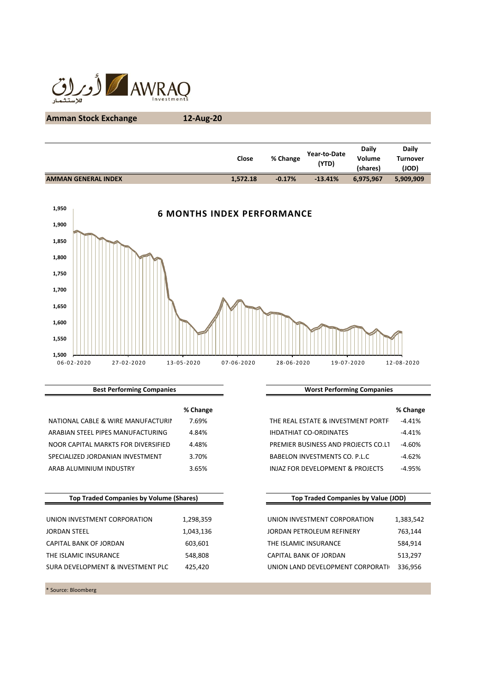

# **Amman Stock Exchange 12-Aug-20**

|                            | Close    | % Change | Year-to-Date<br>(YTD) | <b>Daily</b><br>Volume<br>(shares) | <b>Daily</b><br>Turnover<br>(JOD) |
|----------------------------|----------|----------|-----------------------|------------------------------------|-----------------------------------|
| <b>AMMAN GENERAL INDEX</b> | 1.572.18 | $-0.17%$ | $-13.41%$             | 6,975,967                          | 5,909,909                         |
|                            |          |          |                       |                                    |                                   |



**Best Performing Companies**

|                                     | % Change |                                     | % Chan   |
|-------------------------------------|----------|-------------------------------------|----------|
| NATIONAL CABLE & WIRE MANUFACTURIN  | 7.69%    | THE REAL ESTATE & INVESTMENT PORTF  | $-4.41%$ |
| ARABIAN STEEL PIPES MANUFACTURING   | 4.84%    | <b>IHDATHIAT CO-ORDINATES</b>       | $-4.41%$ |
| NOOR CAPITAL MARKTS FOR DIVERSIFIED | 4.48%    | PREMIER BUSINESS AND PROJECTS CO.LT | $-4.60%$ |
| SPECIALIZED JORDANIAN INVESTMENT    | 3.70%    | BABELON INVESTMENTS CO. P.L.C       | $-4.62%$ |
| ARAB ALUMINIUM INDUSTRY             | 3.65%    | INJAZ FOR DEVELOPMENT & PROJECTS    | $-4.95%$ |

| <b>Top Traded Companies by Volume (Shares)</b> |           | <b>Top Traded Companies by Value (JOD)</b> |           |  |
|------------------------------------------------|-----------|--------------------------------------------|-----------|--|
| UNION INVESTMENT CORPORATION                   | 1,298,359 | UNION INVESTMENT CORPORATION               | 1,383,542 |  |
| <b>JORDAN STEEL</b>                            | 1,043,136 | JORDAN PETROLEUM REFINERY                  | 763,144   |  |
| CAPITAL BANK OF JORDAN                         | 603,601   | THE ISLAMIC INSURANCE                      | 584,914   |  |
| THE ISLAMIC INSURANCE                          | 548,808   | CAPITAL BANK OF JORDAN                     | 513,297   |  |
| SURA DEVELOPMENT & INVESTMENT PLC              | 425,420   | UNION LAND DEVELOPMENT CORPORATI           | 336,956   |  |

\* Source: Bloomberg

**Worst Performing Companies**

| % Change |                                             | % Change |
|----------|---------------------------------------------|----------|
| 7.69%    | THE REAL ESTATE & INVESTMENT PORTF          | $-4.41%$ |
| 4.84%    | <b>IHDATHIAT CO-ORDINATES</b>               | $-4.41%$ |
| 4.48%    | PREMIER BUSINESS AND PROJECTS CO.LT         | $-4.60%$ |
| 3.70%    | BABELON INVESTMENTS CO. P.L.C.              | $-4.62%$ |
| 3.65%    | <b>INJAZ FOR DEVELOPMENT &amp; PROJECTS</b> | $-4.95%$ |

### **Top Traded Companies by Value (JOD)**

| UNION INVESTMENT CORPORATION     | 1,383,542 |
|----------------------------------|-----------|
| JORDAN PETROLEUM REFINERY        | 763,144   |
| THE ISLAMIC INSURANCE            | 584.914   |
| CAPITAL BANK OF JORDAN           | 513,297   |
| UNION LAND DEVELOPMENT CORPORATI | 336.956   |